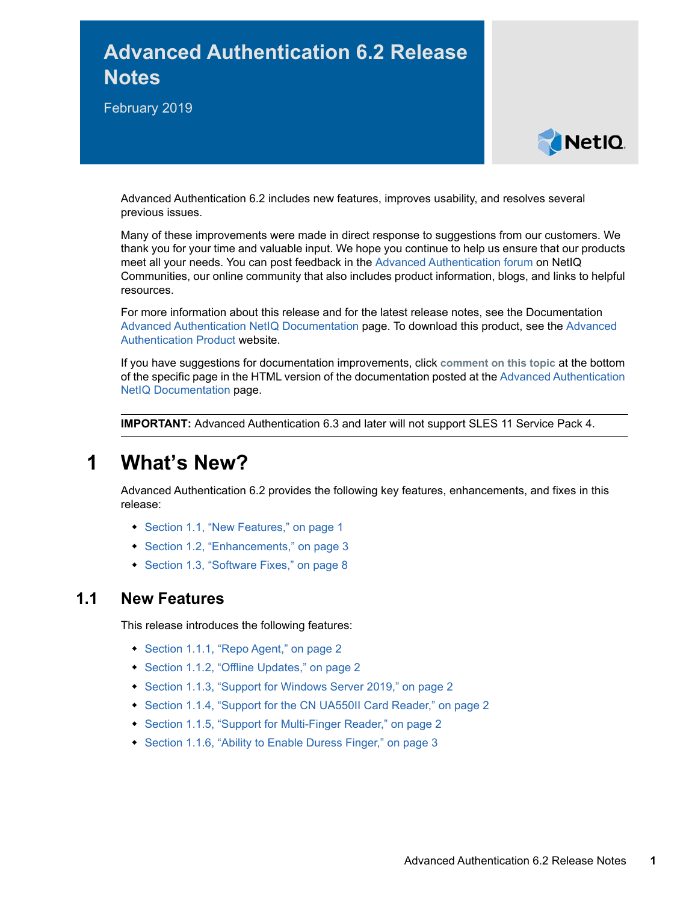# **Advanced Authentication 6.2 Release Notes**

February 2019



Advanced Authentication 6.2 includes new features, improves usability, and resolves several previous issues.

Many of these improvements were made in direct response to suggestions from our customers. We thank you for your time and valuable input. We hope you continue to help us ensure that our products meet all your needs. You can post feedback in the [Advanced Authentication forum](https://forums.novell.com/forumdisplay.php/1374-Advanced-Authentication) on NetIQ Communities, our online community that also includes product information, blogs, and links to helpful resources.

For more information about this release and for the latest release notes, see the Documentation [Advanced Authentication NetIQ Documentation](https://www.netiq.com/documentation/advanced-authentication-62/) page. To download this product, see the [Advanced](https://www.netiq.com/products/advanced-authentication-framework/)  [Authentication Product](https://www.netiq.com/products/advanced-authentication-framework/) website.

If you have suggestions for documentation improvements, click **comment on this topic** at the bottom of the specific page in the HTML version of the documentation posted at the [Advanced Authentication](https://www.netiq.com/documentation/advanced-authentication-62/)  [NetIQ Documentation](https://www.netiq.com/documentation/advanced-authentication-62/) page.

**IMPORTANT:** Advanced Authentication 6.3 and later will not support SLES 11 Service Pack 4.

# **1 What's New?**

Advanced Authentication 6.2 provides the following key features, enhancements, and fixes in this release:

- [Section 1.1, "New Features," on page 1](#page-0-0)
- [Section 1.2, "Enhancements," on page 3](#page-2-0)
- ◆ [Section 1.3, "Software Fixes," on page 8](#page-7-0)

## <span id="page-0-0"></span>**1.1 New Features**

This release introduces the following features:

- ◆ [Section 1.1.1, "Repo Agent," on page 2](#page-1-0)
- [Section 1.1.2, "Offline Updates," on page 2](#page-1-1)
- ◆ [Section 1.1.3, "Support for Windows Server 2019," on page 2](#page-1-2)
- [Section 1.1.4, "Support for the CN UA550II Card Reader," on page](#page-1-3) 2
- ◆ [Section 1.1.5, "Support for Multi-Finger Reader," on page 2](#page-1-4)
- [Section 1.1.6, "Ability to Enable Duress Finger," on page 3](#page-2-1)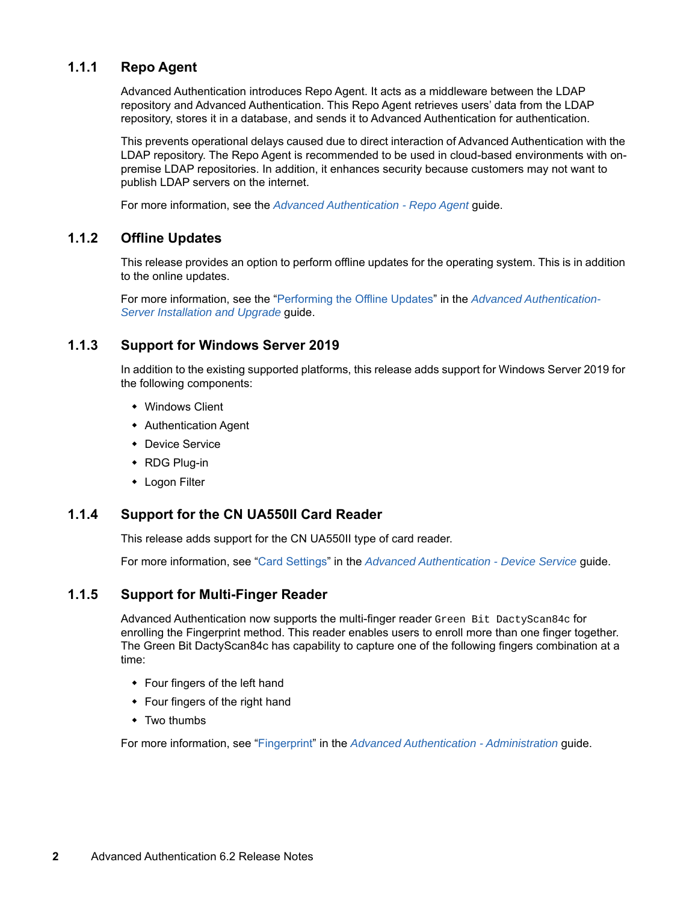### <span id="page-1-0"></span>**1.1.1 Repo Agent**

Advanced Authentication introduces Repo Agent. It acts as a middleware between the LDAP repository and Advanced Authentication. This Repo Agent retrieves users' data from the LDAP repository, stores it in a database, and sends it to Advanced Authentication for authentication.

This prevents operational delays caused due to direct interaction of Advanced Authentication with the LDAP repository. The Repo Agent is recommended to be used in cloud-based environments with onpremise LDAP repositories. In addition, it enhances security because customers may not want to publish LDAP servers on the internet.

For more information, see the *[Advanced Authentication - Repo Agent](https://www.netiq.com/documentation/advanced-authentication-60/pdfdoc/repo-agent-installation-guide/repo-agent-installation-guide.pdf#bookinfo)* guide.

#### <span id="page-1-1"></span>**1.1.2 Offline Updates**

This release provides an option to perform offline updates for the operating system. This is in addition to the online updates.

For more information, see the ["Performing the Offline Updates](https://www.netiq.com/documentation/advanced-authentication-60/pdfdoc/install-upgrade-guide/install-upgrade-guide.pdf#t48m4pgzvls5)" in the *[Advanced Authentication-](https://www.netiq.com/documentation/advanced-authentication-60/pdfdoc/install-upgrade-guide/install-upgrade-guide.pdf#bookinfo)Server Installation and Upgrade* guide.

#### <span id="page-1-2"></span>**1.1.3 Support for Windows Server 2019**

In addition to the existing supported platforms, this release adds support for Windows Server 2019 for the following components:

- Windows Client
- Authentication Agent
- Device Service
- RDG Plug-in
- Logon Filter

#### <span id="page-1-3"></span>**1.1.4 Support for the CN UA550II Card Reader**

This release adds support for the CN UA550II type of card reader.

For more information, see ["Card Settings](https://www.netiq.com/documentation/advanced-authentication-60/pdfdoc/device-service-installation/device-service-installation.pdf#b1k8eoc9)" in the *[Advanced Authentication - Device Service](https://www.netiq.com/documentation/advanced-authentication-60/pdfdoc/device-service-installation/device-service-installation.pdf#bookinfo)* guide.

#### <span id="page-1-4"></span>**1.1.5 Support for Multi-Finger Reader**

Advanced Authentication now supports the multi-finger reader Green Bit DactyScan84c for enrolling the Fingerprint method. This reader enables users to enroll more than one finger together. The Green Bit DactyScan84c has capability to capture one of the following fingers combination at a time:

- Four fingers of the left hand
- Four fingers of the right hand
- Two thumbs

For more information, see ["Fingerprint](https://www.netiq.com/documentation/advanced-authentication-60/pdfdoc/server-administrator-guide/server-administrator-guide.pdf#b1joel8p)" in the *[Advanced Authentication - Administration](https://www.netiq.com/documentation/advanced-authentication-60/pdfdoc/server-administrator-guide/server-administrator-guide.pdf#bookinfo)* guide.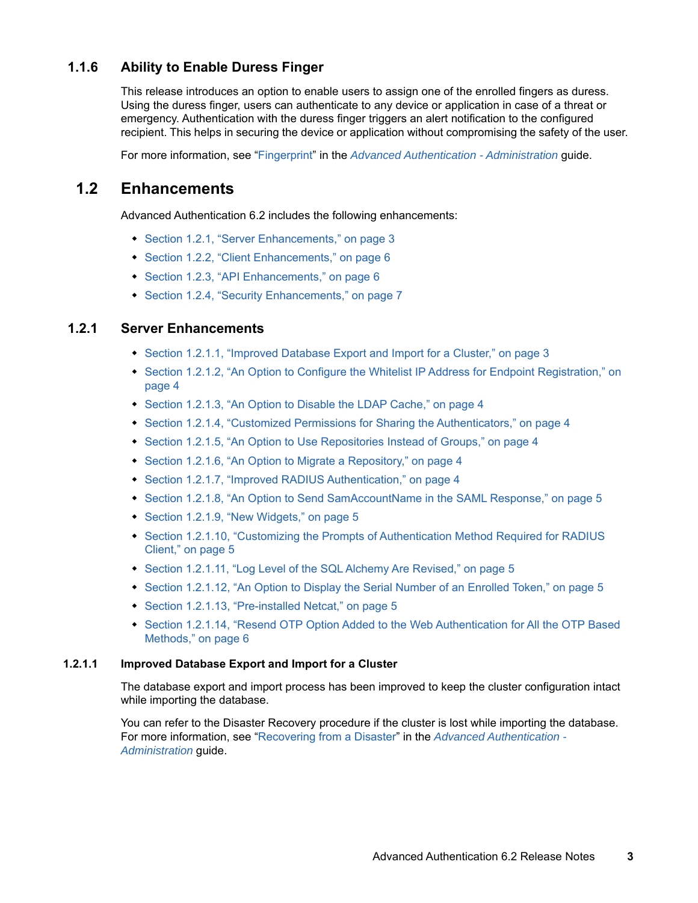## <span id="page-2-1"></span>**1.1.6 Ability to Enable Duress Finger**

This release introduces an option to enable users to assign one of the enrolled fingers as duress. Using the duress finger, users can authenticate to any device or application in case of a threat or emergency. Authentication with the duress finger triggers an alert notification to the configured recipient. This helps in securing the device or application without compromising the safety of the user.

For more information, see ["Fingerprint](https://www.netiq.com/documentation/advanced-authentication-60/pdfdoc/server-administrator-guide/server-administrator-guide.pdf#b1joel8p)" in the *[Advanced Authentication - Administration](https://www.netiq.com/documentation/advanced-authentication-60/pdfdoc/server-administrator-guide/server-administrator-guide.pdf#bookinfo)* guide.

## <span id="page-2-0"></span>**1.2 Enhancements**

Advanced Authentication 6.2 includes the following enhancements:

- [Section 1.2.1, "Server Enhancements," on page 3](#page-2-2)
- [Section 1.2.2, "Client Enhancements," on page 6](#page-5-0)
- [Section 1.2.3, "API Enhancements," on page 6](#page-5-1)
- ◆ [Section 1.2.4, "Security Enhancements," on page 7](#page-6-0)

## <span id="page-2-2"></span>**1.2.1 Server Enhancements**

- [Section 1.2.1.1, "Improved Database Export and Import for a Cluster," on page 3](#page-2-3)
- [Section 1.2.1.2, "An Option to Configure the Whitelist IP Address for Endpoint Registration," on](#page-3-0)  [page 4](#page-3-0)
- [Section 1.2.1.3, "An Option to Disable the LDAP Cache," on page 4](#page-3-1)
- [Section 1.2.1.4, "Customized Permissions for Sharing the Authenticators," on page 4](#page-3-2)
- [Section 1.2.1.5, "An Option to Use Repositories Instead of Groups," on page 4](#page-3-3)
- [Section 1.2.1.6, "An Option to Migrate a Repository," on page 4](#page-3-4)
- [Section 1.2.1.7, "Improved RADIUS Authentication," on page 4](#page-3-5)
- [Section 1.2.1.8, "An Option to Send SamAccountName in the SAML Response," on page 5](#page-4-0)
- ◆ [Section 1.2.1.9, "New Widgets," on page 5](#page-4-1)
- Section 1.2.1.10, "Customizing the Prompts of Authentication Method Required for RADIUS [Client," on page 5](#page-4-2)
- [Section 1.2.1.11, "Log Level of the SQL Alchemy Are Revised," on page 5](#page-4-3)
- [Section 1.2.1.12, "An Option to Display the Serial Number of an Enrolled Token," on page 5](#page-4-4)
- [Section 1.2.1.13, "Pre-installed Netcat," on page 5](#page-4-5)
- [Section 1.2.1.14, "Resend OTP Option Added to the Web Authentication for All the OTP Based](#page-5-2)  [Methods," on page 6](#page-5-2)

#### <span id="page-2-3"></span>**1.2.1.1 Improved Database Export and Import for a Cluster**

The database export and import process has been improved to keep the cluster configuration intact while importing the database.

You can refer to the Disaster Recovery procedure if the cluster is lost while importing the database. For more information, see ["Recovering from a Disaster"](https://www.netiq.com/documentation/advanced-authentication-60/pdfdoc/server-administrator-guide/server-administrator-guide.pdf#disasterrecovery) in the *[Advanced Authentication -](https://www.netiq.com/documentation/advanced-authentication-60/pdfdoc/server-administrator-guide/server-administrator-guide.pdf#bookinfo)  Administration* guide.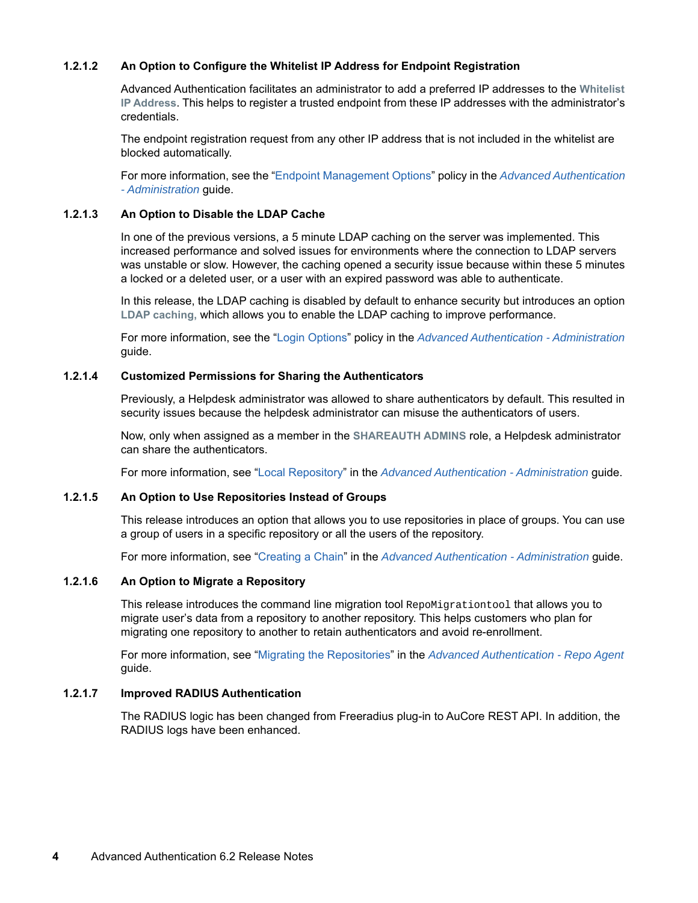#### <span id="page-3-0"></span>**1.2.1.2 An Option to Configure the Whitelist IP Address for Endpoint Registration**

Advanced Authentication facilitates an administrator to add a preferred IP addresses to the **Whitelist IP Address**. This helps to register a trusted endpoint from these IP addresses with the administrator's credentials.

The endpoint registration request from any other IP address that is not included in the whitelist are blocked automatically.

For more information, see the ["Endpoint Management Options](https://www.netiq.com/documentation/advanced-authentication-60/pdfdoc/server-administrator-guide/server-administrator-guide.pdf#Requiringauthenticationdataduringregistrationofendpoint)" policy in the *[Advanced Authentication](https://www.netiq.com/documentation/advanced-authentication-60/pdfdoc/server-administrator-guide/server-administrator-guide.pdf#bookinfo)  - Administration* guide.

#### <span id="page-3-1"></span>**1.2.1.3 An Option to Disable the LDAP Cache**

In one of the previous versions, a 5 minute LDAP caching on the server was implemented. This increased performance and solved issues for environments where the connection to LDAP servers was unstable or slow. However, the caching opened a security issue because within these 5 minutes a locked or a deleted user, or a user with an expired password was able to authenticate.

In this release, the LDAP caching is disabled by default to enhance security but introduces an option **LDAP caching,** which allows you to enable the LDAP caching to improve performance.

For more information, see the ["Login Options"](https://www.netiq.com/documentation/advanced-authentication-60/pdfdoc/server-administrator-guide/server-administrator-guide.pdf#LoginOptions) policy in the *[Advanced Authentication - Administration](https://www.netiq.com/documentation/advanced-authentication-60/pdfdoc/server-administrator-guide/server-administrator-guide.pdf#bookinfo)* guide.

#### <span id="page-3-2"></span>**1.2.1.4 Customized Permissions for Sharing the Authenticators**

Previously, a Helpdesk administrator was allowed to share authenticators by default. This resulted in security issues because the helpdesk administrator can misuse the authenticators of users.

Now, only when assigned as a member in the **SHAREAUTH ADMINS** role, a Helpdesk administrator can share the authenticators.

For more information, see ["Local Repository"](https://www.netiq.com/documentation/advanced-authentication-60/pdfdoc/server-administrator-guide/server-administrator-guide.pdf#LocalRepository) in the *[Advanced Authentication - Administration](https://www.netiq.com/documentation/advanced-authentication-60/pdfdoc/server-administrator-guide/server-administrator-guide.pdf#bookinfo)* guide.

#### <span id="page-3-3"></span>**1.2.1.5 An Option to Use Repositories Instead of Groups**

This release introduces an option that allows you to use repositories in place of groups. You can use a group of users in a specific repository or all the users of the repository.

For more information, see ["Creating a Chain"](https://www.netiq.com/documentation/advanced-authentication-60/pdfdoc/server-administrator-guide/server-administrator-guide.pdf#CreatingChain) in the *[Advanced Authentication - Administration](https://www.netiq.com/documentation/advanced-authentication-60/pdfdoc/server-administrator-guide/server-administrator-guide.pdf#bookinfo)* guide.

#### <span id="page-3-4"></span>**1.2.1.6 An Option to Migrate a Repository**

This release introduces the command line migration tool RepoMigrationtool that allows you to migrate user's data from a repository to another repository. This helps customers who plan for migrating one repository to another to retain authenticators and avoid re-enrollment.

For more information, see ["Migrating the Repositories"](https://www.netiq.com/documentation/advanced-authentication-60/pdfdoc/repo-agent-installation-guide/repo-agent-installation-guide.pdf#migratingrepoagent) in the *[Advanced Authentication - Repo Agent](https://www.netiq.com/documentation/advanced-authentication-60/pdfdoc/repo-agent-installation-guide/repo-agent-installation-guide.pdf#bookinfo)* guide.

#### <span id="page-3-5"></span>**1.2.1.7 Improved RADIUS Authentication**

The RADIUS logic has been changed from Freeradius plug-in to AuCore REST API. In addition, the RADIUS logs have been enhanced.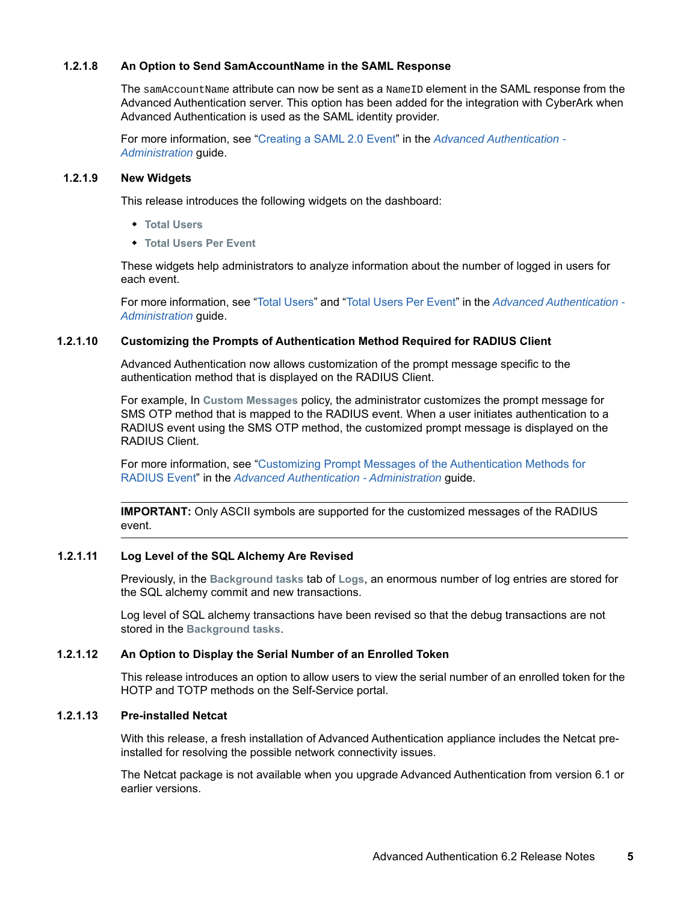#### <span id="page-4-0"></span>**1.2.1.8 An Option to Send SamAccountName in the SAML Response**

The samAccountName attribute can now be sent as a NameID element in the SAML response from the Advanced Authentication server. This option has been added for the integration with CyberArk when Advanced Authentication is used as the SAML identity provider.

For more information, see ["Creating a SAML 2.0 Event](https://www.netiq.com/documentation/advanced-authentication-60/pdfdoc/server-administrator-guide/server-administrator-guide.pdf#t448527wrsb6)" in the *[Advanced Authentication -](https://www.netiq.com/documentation/advanced-authentication-60/pdfdoc/server-administrator-guide/server-administrator-guide.pdf#bookinfo)  Administration* guide.

#### <span id="page-4-1"></span>**1.2.1.9 New Widgets**

This release introduces the following widgets on the dashboard:

- **Total Users**
- **Total Users Per Event**

These widgets help administrators to analyze information about the number of logged in users for each event.

For more information, see "[Total Users](https://www.netiq.com/documentation/advanced-authentication-60/pdfdoc/server-administrator-guide/server-administrator-guide.pdf#t48kw71a3f0c)" and "[Total Users Per Event"](https://www.netiq.com/documentation/advanced-authentication-60/pdfdoc/server-administrator-guide/server-administrator-guide.pdf#t48kw71a3ivv) in the *[Advanced Authentication -](https://www.netiq.com/documentation/advanced-authentication-60/pdfdoc/server-administrator-guide/server-administrator-guide.pdf#bookinfo)  Administration* guide.

#### <span id="page-4-2"></span>**1.2.1.10 Customizing the Prompts of Authentication Method Required for RADIUS Client**

Advanced Authentication now allows customization of the prompt message specific to the authentication method that is displayed on the RADIUS Client.

For example, In **Custom Messages** policy, the administrator customizes the prompt message for SMS OTP method that is mapped to the RADIUS event. When a user initiates authentication to a RADIUS event using the SMS OTP method, the customized prompt message is displayed on the RADIUS Client.

For more information, see ["Customizing Prompt Messages of the Authentication Methods for](https://www.netiq.com/documentation/advanced-authentication-60/pdfdoc/server-administrator-guide/server-administrator-guide.pdf#t48dty7o3wr7)  RADIUS Event" in the *[Advanced Authentication - Administration](https://www.netiq.com/documentation/advanced-authentication-60/pdfdoc/server-administrator-guide/server-administrator-guide.pdf#bookinfo)* guide.

**IMPORTANT:** Only ASCII symbols are supported for the customized messages of the RADIUS event.

#### <span id="page-4-3"></span>**1.2.1.11 Log Level of the SQL Alchemy Are Revised**

Previously, in the **Background tasks** tab of **Logs**, an enormous number of log entries are stored for the SQL alchemy commit and new transactions.

Log level of SQL alchemy transactions have been revised so that the debug transactions are not stored in the **Background tasks**.

#### <span id="page-4-4"></span>**1.2.1.12 An Option to Display the Serial Number of an Enrolled Token**

This release introduces an option to allow users to view the serial number of an enrolled token for the HOTP and TOTP methods on the Self-Service portal.

#### <span id="page-4-5"></span>**1.2.1.13 Pre-installed Netcat**

With this release, a fresh installation of Advanced Authentication appliance includes the Netcat preinstalled for resolving the possible network connectivity issues.

The Netcat package is not available when you upgrade Advanced Authentication from version 6.1 or earlier versions.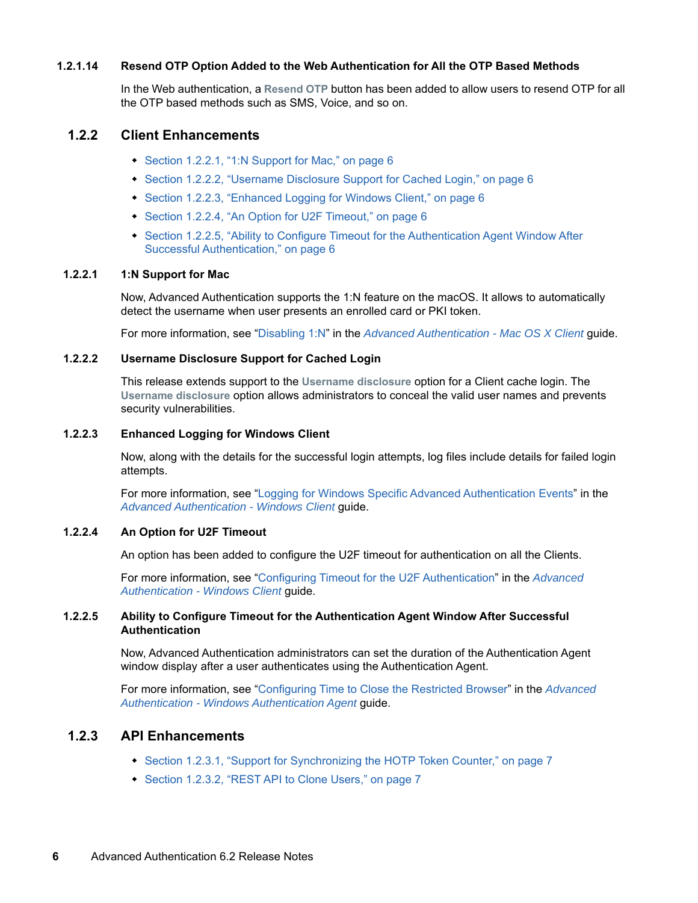#### <span id="page-5-2"></span>**1.2.1.14 Resend OTP Option Added to the Web Authentication for All the OTP Based Methods**

In the Web authentication, a **Resend OTP** button has been added to allow users to resend OTP for all the OTP based methods such as SMS, Voice, and so on.

#### <span id="page-5-0"></span>**1.2.2 Client Enhancements**

- [Section 1.2.2.1, "1:N Support for Mac," on page 6](#page-5-3)
- [Section 1.2.2.2, "Username Disclosure Support for Cached Login," on page 6](#page-5-4)
- ◆ [Section 1.2.2.3, "Enhanced Logging for Windows Client," on page 6](#page-5-5)
- [Section 1.2.2.4, "An Option for U2F Timeout," on page 6](#page-5-6)
- Section 1.2.2.5, "Ability to Configure Timeout for the Authentication Agent Window After [Successful Authentication," on page 6](#page-5-7)

#### <span id="page-5-3"></span>**1.2.2.1 1:N Support for Mac**

Now, Advanced Authentication supports the 1:N feature on the macOS. It allows to automatically detect the username when user presents an enrolled card or PKI token.

For more information, see ["Disabling 1:N"](https://www.netiq.com/documentation/advanced-authentication-60/pdfdoc/macos-client-installation/macos-client-installation.pdf#b1lvj0r6) in the *[Advanced Authentication - Mac OS X Client](https://www.netiq.com/documentation/advanced-authentication-60/pdfdoc/macos-client-installation/macos-client-installation.pdf#bookinfo)* guide.

#### <span id="page-5-4"></span>**1.2.2.2 Username Disclosure Support for Cached Login**

This release extends support to the **Username disclosure** option for a Client cache login. The **Username disclosure** option allows administrators to conceal the valid user names and prevents security vulnerabilities.

#### <span id="page-5-5"></span>**1.2.2.3 Enhanced Logging for Windows Client**

Now, along with the details for the successful login attempts, log files include details for failed login attempts.

For more information, see ["Logging for Windows Specific Advanced Authentication Events](https://www.netiq.com/documentation/advanced-authentication-60/pdfdoc/windows-client-installation-guide/windows-client-installation-guide.pdf#t45ksn1ozy65)" in the *[Advanced Authentication - Windows Client](https://www.netiq.com/documentation/advanced-authentication-60/pdfdoc/windows-client-installation-guide/windows-client-installation-guide.pdf#bookinfo)* guide.

#### <span id="page-5-6"></span>**1.2.2.4 An Option for U2F Timeout**

An option has been added to configure the U2F timeout for authentication on all the Clients.

For more information, see ["Configuring Timeout for the U2F Authentication](https://www.netiq.com/documentation/advanced-authentication-60/pdfdoc/windows-client-installation-guide/windows-client-installation-guide.pdf#t48okaigs7db)" in the *[Advanced](https://www.netiq.com/documentation/advanced-authentication-60/pdfdoc/windows-client-installation-guide/windows-client-installation-guide.pdf#bookinfo)  Authentication - Windows Client* guide.

#### <span id="page-5-7"></span>**1.2.2.5 Ability to Configure Timeout for the Authentication Agent Window After Successful Authentication**

Now, Advanced Authentication administrators can set the duration of the Authentication Agent window display after a user authenticates using the Authentication Agent.

For more information, see ["Configuring Time to Close the Restricted Browser](https://www.netiq.com/documentation/advanced-authentication-60/pdfdoc/windows-authentication-agent-installation-guide/windows-authentication-agent-installation-guide.pdf#t482vvrkd1z5)" in the *[Advanced](https://www.netiq.com/documentation/advanced-authentication-60/pdfdoc/windows-authentication-agent-installation-guide/windows-authentication-agent-installation-guide.pdf#bookinfo)  Authentication - Windows Authentication Agent* guide.

#### <span id="page-5-1"></span>**1.2.3 API Enhancements**

- [Section 1.2.3.1, "Support for Synchronizing the HOTP Token Counter," on page 7](#page-6-1)
- [Section 1.2.3.2, "REST API to Clone Users," on page 7](#page-6-2)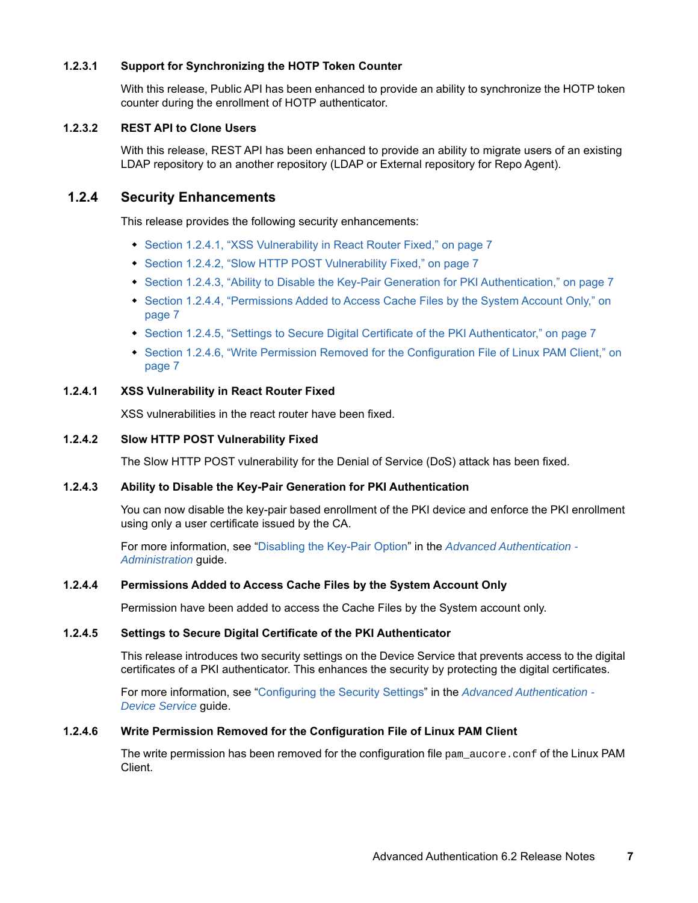#### <span id="page-6-1"></span>**1.2.3.1 Support for Synchronizing the HOTP Token Counter**

With this release, Public API has been enhanced to provide an ability to synchronize the HOTP token counter during the enrollment of HOTP authenticator.

#### <span id="page-6-2"></span>**1.2.3.2 REST API to Clone Users**

With this release, REST API has been enhanced to provide an ability to migrate users of an existing LDAP repository to an another repository (LDAP or External repository for Repo Agent).

#### <span id="page-6-0"></span>**1.2.4 Security Enhancements**

This release provides the following security enhancements:

- [Section 1.2.4.1, "XSS Vulnerability in React Router Fixed," on page 7](#page-6-3)
- [Section 1.2.4.2, "Slow HTTP POST Vulnerability Fixed," on page 7](#page-6-4)
- [Section 1.2.4.3, "Ability to Disable the Key-Pair Generation for PKI Authentication," on page 7](#page-6-5)
- [Section 1.2.4.4, "Permissions Added to Access Cache Files by the System Account Only," on](#page-6-6)  [page 7](#page-6-6)
- [Section 1.2.4.5, "Settings to Secure Digital Certificate of the PKI Authenticator," on page 7](#page-6-7)
- Section 1.2.4.6, "Write Permission Removed for the Configuration File of Linux PAM Client," on [page 7](#page-6-8)

#### <span id="page-6-3"></span>**1.2.4.1 XSS Vulnerability in React Router Fixed**

XSS vulnerabilities in the react router have been fixed.

#### <span id="page-6-4"></span>**1.2.4.2 Slow HTTP POST Vulnerability Fixed**

The Slow HTTP POST vulnerability for the Denial of Service (DoS) attack has been fixed.

#### <span id="page-6-5"></span>**1.2.4.3 Ability to Disable the Key-Pair Generation for PKI Authentication**

You can now disable the key-pair based enrollment of the PKI device and enforce the PKI enrollment using only a user certificate issued by the CA.

For more information, see ["Disabling the Key-Pair Option"](https://www.netiq.com/documentation/advanced-authentication-60/pdfdoc/server-administrator-guide/server-administrator-guide.pdf#t48hu5yjo3qh) in the *[Advanced Authentication -](https://www.netiq.com/documentation/advanced-authentication-60/pdfdoc/server-administrator-guide/server-administrator-guide.pdf#bookinfo)  Administration* guide.

#### <span id="page-6-6"></span>**1.2.4.4 Permissions Added to Access Cache Files by the System Account Only**

Permission have been added to access the Cache Files by the System account only.

#### <span id="page-6-7"></span>**1.2.4.5 Settings to Secure Digital Certificate of the PKI Authenticator**

This release introduces two security settings on the Device Service that prevents access to the digital certificates of a PKI authenticator. This enhances the security by protecting the digital certificates.

For more information, see ["Configuring the Security Settings](https://www.netiq.com/documentation/advanced-authentication-60/pdfdoc/device-service-installation/device-service-installation.pdf#t4836fudhrcj)" in the *[Advanced Authentication -](https://www.netiq.com/documentation/advanced-authentication-60/pdfdoc/device-service-installation/device-service-installation.pdf#bookinfo)  Device Service* guide.

#### <span id="page-6-8"></span>**1.2.4.6 Write Permission Removed for the Configuration File of Linux PAM Client**

The write permission has been removed for the configuration file  $pam$  aucore.conf of the Linux PAM Client.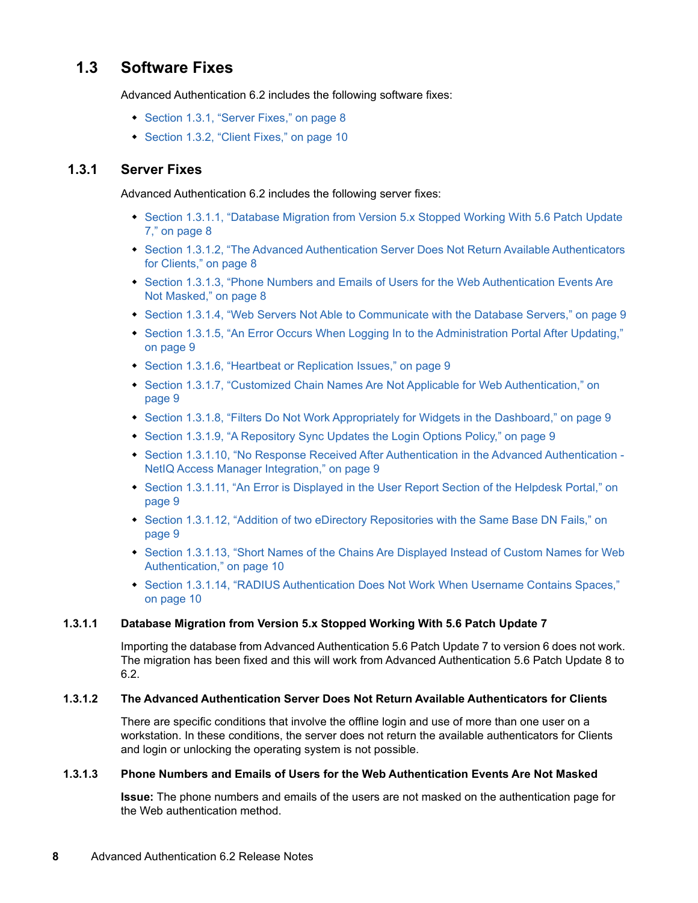## <span id="page-7-0"></span>**1.3 Software Fixes**

Advanced Authentication 6.2 includes the following software fixes:

- [Section 1.3.1, "Server Fixes," on page 8](#page-7-1)
- [Section 1.3.2, "Client Fixes," on page 10](#page-9-0)

### <span id="page-7-1"></span>**1.3.1 Server Fixes**

Advanced Authentication 6.2 includes the following server fixes:

- Section 1.3.1.1, "Database Migration from Version 5.x Stopped Working With 5.6 Patch Update [7," on page 8](#page-7-2)
- [Section 1.3.1.2, "The Advanced Authentication Server Does Not Return Available Authenticators](#page-7-3)  [for Clients," on page 8](#page-7-3)
- [Section 1.3.1.3, "Phone Numbers and Emails of Users for the Web Authentication Events Are](#page-7-4)  [Not Masked," on page 8](#page-7-4)
- [Section 1.3.1.4, "Web Servers Not Able to Communicate with the Database Servers," on page 9](#page-8-0)
- Section 1.3.1.5, "An Error Occurs When Logging In to the Administration Portal After Updating," [on page 9](#page-8-1)
- ◆ [Section 1.3.1.6, "Heartbeat or Replication Issues," on page 9](#page-8-2)
- [Section 1.3.1.7, "Customized Chain Names Are Not Applicable for Web Authentication," on](#page-8-3)  [page 9](#page-8-3)
- [Section 1.3.1.8, "Filters Do Not Work Appropriately for Widgets in the Dashboard," on page 9](#page-8-4)
- [Section 1.3.1.9, "A Repository Sync Updates the Login Options Policy," on page 9](#page-8-5)
- [Section 1.3.1.10, "No Response Received After Authentication in the Advanced Authentication](#page-8-6)  [NetIQ Access Manager Integration," on page 9](#page-8-6)
- [Section 1.3.1.11, "An Error is Displayed in the User Report Section of the Helpdesk Portal," on](#page-8-7)  [page 9](#page-8-7)
- [Section 1.3.1.12, "Addition of two eDirectory Repositories with the Same Base DN Fails," on](#page-8-8)  [page 9](#page-8-8)
- Section 1.3.1.13, "Short Names of the Chains Are Displayed Instead of Custom Names for Web [Authentication," on page 10](#page-9-1)
- Section 1.3.1.14, "RADIUS Authentication Does Not Work When Username Contains Spaces," [on page 10](#page-9-2)

#### <span id="page-7-2"></span>**1.3.1.1 Database Migration from Version 5.x Stopped Working With 5.6 Patch Update 7**

Importing the database from Advanced Authentication 5.6 Patch Update 7 to version 6 does not work. The migration has been fixed and this will work from Advanced Authentication 5.6 Patch Update 8 to 6.2.

#### <span id="page-7-3"></span>**1.3.1.2 The Advanced Authentication Server Does Not Return Available Authenticators for Clients**

There are specific conditions that involve the offline login and use of more than one user on a workstation. In these conditions, the server does not return the available authenticators for Clients and login or unlocking the operating system is not possible.

#### <span id="page-7-4"></span>**1.3.1.3 Phone Numbers and Emails of Users for the Web Authentication Events Are Not Masked**

**Issue:** The phone numbers and emails of the users are not masked on the authentication page for the Web authentication method.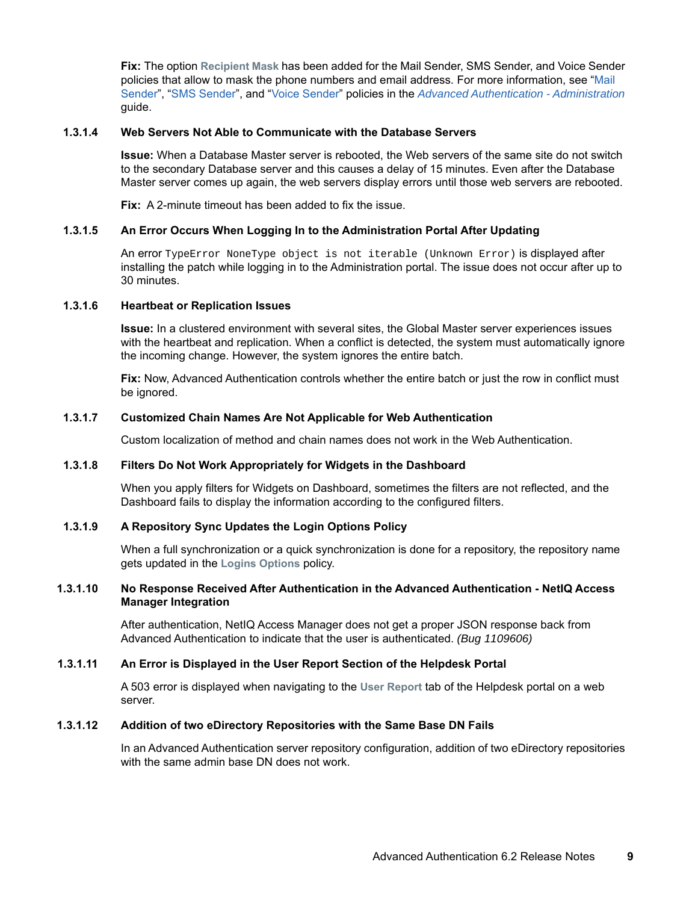**Fix:** The option **Recipient Mask** has been added for the Mail Sender, SMS Sender, and Voice Sender policies that allow to mask the phone numbers and email address. For more information, see "[Mail](https://www.netiq.com/documentation/advanced-authentication-60/pdfdoc/server-administrator-guide/server-administrator-guide.pdf#MailServerSettings)  Sender", ["SMS Sender"](https://www.netiq.com/documentation/advanced-authentication-60/pdfdoc/server-administrator-guide/server-administrator-guide.pdf#SMSServiceProviderSettings), and ["Voice Sender"](https://www.netiq.com/documentation/advanced-authentication-60/pdfdoc/server-administrator-guide/server-administrator-guide.pdf#VoiceCallServiceProviderSettings) policies in the *[Advanced Authentication - Administration](https://www.netiq.com/documentation/advanced-authentication-60/pdfdoc/server-administrator-guide/server-administrator-guide.pdf#bookinfo)* guide.

#### <span id="page-8-0"></span>**1.3.1.4 Web Servers Not Able to Communicate with the Database Servers**

**Issue:** When a Database Master server is rebooted, the Web servers of the same site do not switch to the secondary Database server and this causes a delay of 15 minutes. Even after the Database Master server comes up again, the web servers display errors until those web servers are rebooted.

**Fix:** A 2-minute timeout has been added to fix the issue.

#### <span id="page-8-1"></span>**1.3.1.5 An Error Occurs When Logging In to the Administration Portal After Updating**

An error TypeError NoneType object is not iterable (Unknown Error) is displayed after installing the patch while logging in to the Administration portal. The issue does not occur after up to 30 minutes.

#### <span id="page-8-2"></span>**1.3.1.6 Heartbeat or Replication Issues**

**Issue:** In a clustered environment with several sites, the Global Master server experiences issues with the heartbeat and replication. When a conflict is detected, the system must automatically ignore the incoming change. However, the system ignores the entire batch.

**Fix:** Now, Advanced Authentication controls whether the entire batch or just the row in conflict must be ignored.

#### <span id="page-8-3"></span>**1.3.1.7 Customized Chain Names Are Not Applicable for Web Authentication**

Custom localization of method and chain names does not work in the Web Authentication.

#### <span id="page-8-4"></span>**1.3.1.8 Filters Do Not Work Appropriately for Widgets in the Dashboard**

When you apply filters for Widgets on Dashboard, sometimes the filters are not reflected, and the Dashboard fails to display the information according to the configured filters.

#### <span id="page-8-5"></span>**1.3.1.9 A Repository Sync Updates the Login Options Policy**

When a full synchronization or a quick synchronization is done for a repository, the repository name gets updated in the **Logins Options** policy.

#### <span id="page-8-6"></span>**1.3.1.10 No Response Received After Authentication in the Advanced Authentication - NetIQ Access Manager Integration**

After authentication, NetIQ Access Manager does not get a proper JSON response back from Advanced Authentication to indicate that the user is authenticated. *(Bug 1109606)*

#### <span id="page-8-7"></span>**1.3.1.11 An Error is Displayed in the User Report Section of the Helpdesk Portal**

A 503 error is displayed when navigating to the **User Report** tab of the Helpdesk portal on a web server.

#### <span id="page-8-8"></span>**1.3.1.12 Addition of two eDirectory Repositories with the Same Base DN Fails**

In an Advanced Authentication server repository configuration, addition of two eDirectory repositories with the same admin base DN does not work.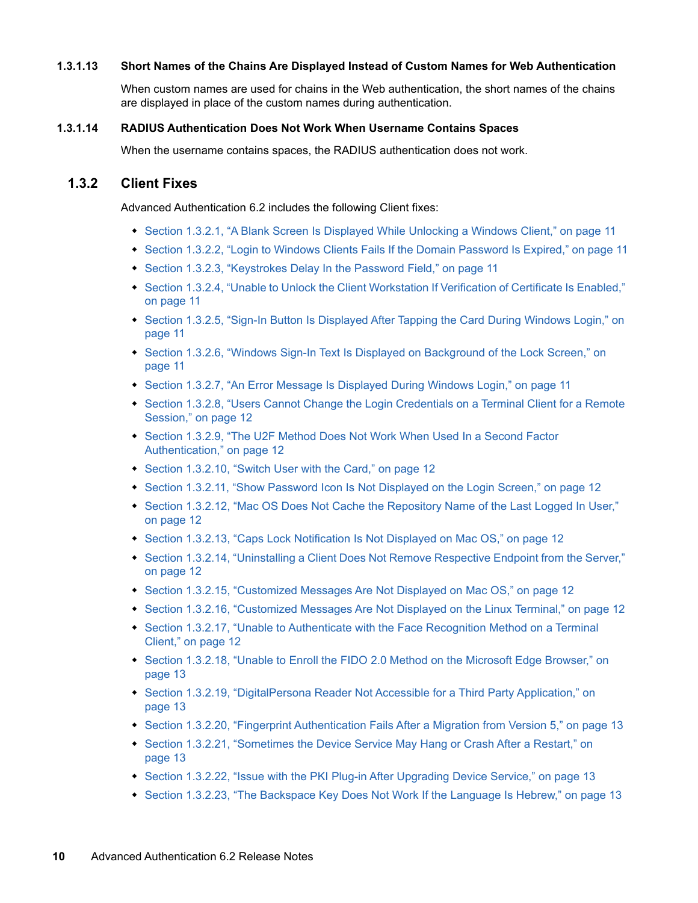#### <span id="page-9-1"></span>**1.3.1.13 Short Names of the Chains Are Displayed Instead of Custom Names for Web Authentication**

When custom names are used for chains in the Web authentication, the short names of the chains are displayed in place of the custom names during authentication.

#### <span id="page-9-2"></span>**1.3.1.14 RADIUS Authentication Does Not Work When Username Contains Spaces**

When the username contains spaces, the RADIUS authentication does not work.

#### <span id="page-9-0"></span>**1.3.2 Client Fixes**

Advanced Authentication 6.2 includes the following Client fixes:

- [Section 1.3.2.1, "A Blank Screen Is Displayed While Unlocking a Windows Client," on page 11](#page-10-0)
- [Section 1.3.2.2, "Login to Windows Clients Fails If the Domain Password Is Expired," on page 11](#page-10-1)
- [Section 1.3.2.3, "Keystrokes Delay In the Password Field," on page 11](#page-10-2)
- [Section 1.3.2.4, "Unable to Unlock the Client Workstation If Verification of Certificate Is Enabled,"](#page-10-3)  [on page 11](#page-10-3)
- Section 1.3.2.5, "Sign-In Button Is Displayed After Tapping the Card During Windows Login," on [page 11](#page-10-4)
- [Section 1.3.2.6, "Windows Sign-In Text Is Displayed on Background of the Lock Screen," on](#page-10-5)  [page 11](#page-10-5)
- [Section 1.3.2.7, "An Error Message Is Displayed During Windows Login," on page 11](#page-10-6)
- Section 1.3.2.8, "Users Cannot Change the Login Credentials on a Terminal Client for a Remote [Session," on page 12](#page-11-0)
- ◆ Section 1.3.2.9, "The U2F Method Does Not Work When Used In a Second Factor [Authentication," on page 12](#page-11-1)
- ◆ [Section 1.3.2.10, "Switch User with the Card," on page 12](#page-11-2)
- [Section 1.3.2.11, "Show Password Icon Is Not Displayed on the Login Screen," on page 12](#page-11-3)
- [Section 1.3.2.12, "Mac OS Does Not Cache the Repository Name of the Last Logged In User,"](#page-11-4)  [on page 12](#page-11-4)
- [Section 1.3.2.13, "Caps Lock Notification Is Not Displayed on Mac OS," on page 12](#page-11-5)
- [Section 1.3.2.14, "Uninstalling a Client Does Not Remove Respective Endpoint from the Server,"](#page-11-6)  [on page 12](#page-11-6)
- [Section 1.3.2.15, "Customized Messages Are Not Displayed on Mac OS," on page 12](#page-11-7)
- [Section 1.3.2.16, "Customized Messages Are Not Displayed on the Linux Terminal," on page 12](#page-11-8)
- Section 1.3.2.17, "Unable to Authenticate with the Face Recognition Method on a Terminal [Client," on page 12](#page-11-9)
- [Section 1.3.2.18, "Unable to Enroll the FIDO 2.0 Method on the Microsoft Edge Browser," on](#page-12-0)  [page 13](#page-12-0)
- [Section 1.3.2.19, "DigitalPersona Reader Not Accessible for a Third Party Application," on](#page-12-1)  [page 13](#page-12-1)
- [Section 1.3.2.20, "Fingerprint Authentication Fails After a Migration from Version 5," on page 13](#page-12-2)
- Section 1.3.2.21, "Sometimes the Device Service May Hang or Crash After a Restart," on [page 13](#page-12-3)
- [Section 1.3.2.22, "Issue with the PKI Plug-in After Upgrading Device Service," on page 13](#page-12-4)
- [Section 1.3.2.23, "The Backspace Key Does Not Work If the Language Is Hebrew," on page 13](#page-12-5)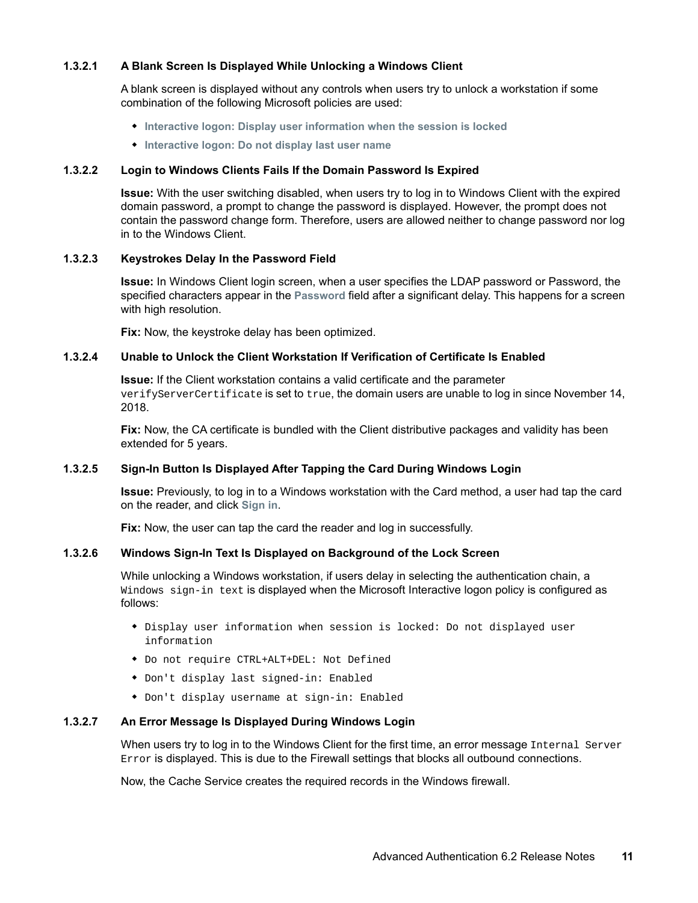#### <span id="page-10-0"></span>**1.3.2.1 A Blank Screen Is Displayed While Unlocking a Windows Client**

A blank screen is displayed without any controls when users try to unlock a workstation if some combination of the following Microsoft policies are used:

- **Interactive logon: Display user information when the session is locked**
- **Interactive logon: Do not display last user name**

#### <span id="page-10-1"></span>**1.3.2.2 Login to Windows Clients Fails If the Domain Password Is Expired**

**Issue:** With the user switching disabled, when users try to log in to Windows Client with the expired domain password, a prompt to change the password is displayed. However, the prompt does not contain the password change form. Therefore, users are allowed neither to change password nor log in to the Windows Client.

#### <span id="page-10-2"></span>**1.3.2.3 Keystrokes Delay In the Password Field**

**Issue:** In Windows Client login screen, when a user specifies the LDAP password or Password, the specified characters appear in the **Password** field after a significant delay. This happens for a screen with high resolution.

**Fix:** Now, the keystroke delay has been optimized.

#### <span id="page-10-3"></span>**1.3.2.4 Unable to Unlock the Client Workstation If Verification of Certificate Is Enabled**

**Issue:** If the Client workstation contains a valid certificate and the parameter verifyServerCertificate is set to true, the domain users are unable to log in since November 14, 2018.

**Fix:** Now, the CA certificate is bundled with the Client distributive packages and validity has been extended for 5 years.

#### <span id="page-10-4"></span>**1.3.2.5 Sign-In Button Is Displayed After Tapping the Card During Windows Login**

**Issue:** Previously, to log in to a Windows workstation with the Card method, a user had tap the card on the reader, and click **Sign in**.

**Fix:** Now, the user can tap the card the reader and log in successfully.

#### <span id="page-10-5"></span>**1.3.2.6 Windows Sign-In Text Is Displayed on Background of the Lock Screen**

While unlocking a Windows workstation, if users delay in selecting the authentication chain, a Windows sign-in text is displayed when the Microsoft Interactive logon policy is configured as follows:

- Display user information when session is locked: Do not displayed user information
- Do not require CTRL+ALT+DEL: Not Defined
- Don't display last signed-in: Enabled
- Don't display username at sign-in: Enabled

#### <span id="page-10-6"></span>**1.3.2.7 An Error Message Is Displayed During Windows Login**

When users try to log in to the Windows Client for the first time, an error message Internal Server Error is displayed. This is due to the Firewall settings that blocks all outbound connections.

Now, the Cache Service creates the required records in the Windows firewall.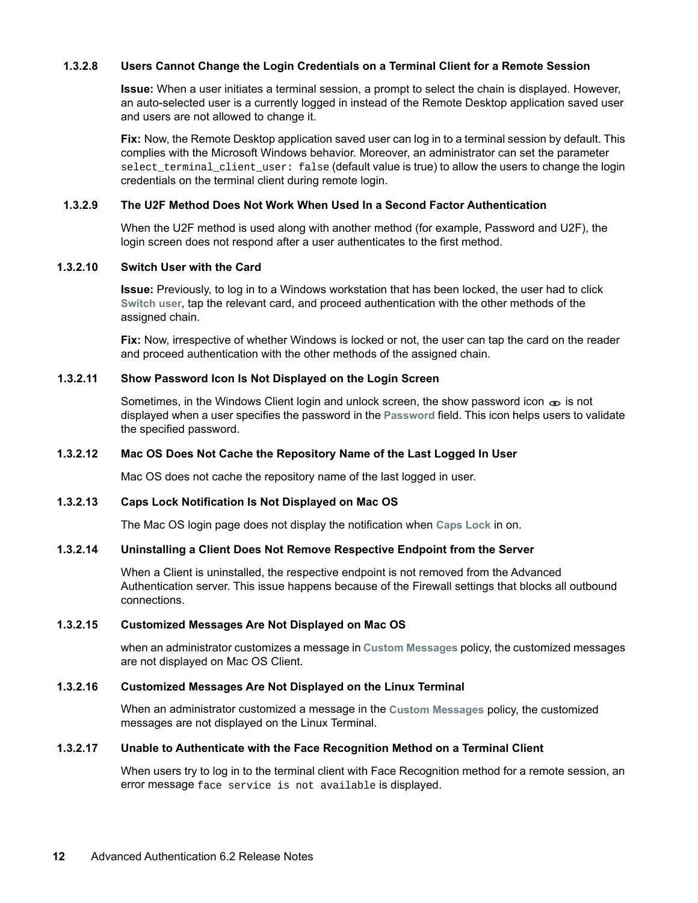#### <span id="page-11-0"></span>**1.3.2.8 Users Cannot Change the Login Credentials on a Terminal Client for a Remote Session**

**Issue:** When a user initiates a terminal session, a prompt to select the chain is displayed. However, an auto-selected user is a currently logged in instead of the Remote Desktop application saved user and users are not allowed to change it.

**Fix:** Now, the Remote Desktop application saved user can log in to a terminal session by default. This complies with the Microsoft Windows behavior. Moreover, an administrator can set the parameter select\_terminal\_client\_user: false (default value is true) to allow the users to change the login credentials on the terminal client during remote login.

#### <span id="page-11-1"></span>**1.3.2.9 The U2F Method Does Not Work When Used In a Second Factor Authentication**

When the U2F method is used along with another method (for example, Password and U2F), the login screen does not respond after a user authenticates to the first method.

#### <span id="page-11-2"></span>**1.3.2.10 Switch User with the Card**

**Issue:** Previously, to log in to a Windows workstation that has been locked, the user had to click **Switch user**, tap the relevant card, and proceed authentication with the other methods of the assigned chain.

**Fix:** Now, irrespective of whether Windows is locked or not, the user can tap the card on the reader and proceed authentication with the other methods of the assigned chain.

#### <span id="page-11-3"></span>**1.3.2.11 Show Password Icon Is Not Displayed on the Login Screen**

Sometimes, in the Windows Client login and unlock screen, the show password icon  $\infty$  is not displayed when a user specifies the password in the **Password** field. This icon helps users to validate the specified password.

#### <span id="page-11-4"></span>**1.3.2.12 Mac OS Does Not Cache the Repository Name of the Last Logged In User**

Mac OS does not cache the repository name of the last logged in user.

#### <span id="page-11-5"></span>**1.3.2.13 Caps Lock Notification Is Not Displayed on Mac OS**

The Mac OS login page does not display the notification when **Caps Lock** in on.

#### <span id="page-11-6"></span>**1.3.2.14 Uninstalling a Client Does Not Remove Respective Endpoint from the Server**

When a Client is uninstalled, the respective endpoint is not removed from the Advanced Authentication server. This issue happens because of the Firewall settings that blocks all outbound connections.

#### <span id="page-11-7"></span>**1.3.2.15 Customized Messages Are Not Displayed on Mac OS**

when an administrator customizes a message in **Custom Messages** policy, the customized messages are not displayed on Mac OS Client.

#### <span id="page-11-8"></span>**1.3.2.16 Customized Messages Are Not Displayed on the Linux Terminal**

When an administrator customized a message in the **Custom Messages** policy, the customized messages are not displayed on the Linux Terminal.

#### <span id="page-11-9"></span>**1.3.2.17 Unable to Authenticate with the Face Recognition Method on a Terminal Client**

When users try to log in to the terminal client with Face Recognition method for a remote session, an error message face service is not available is displayed.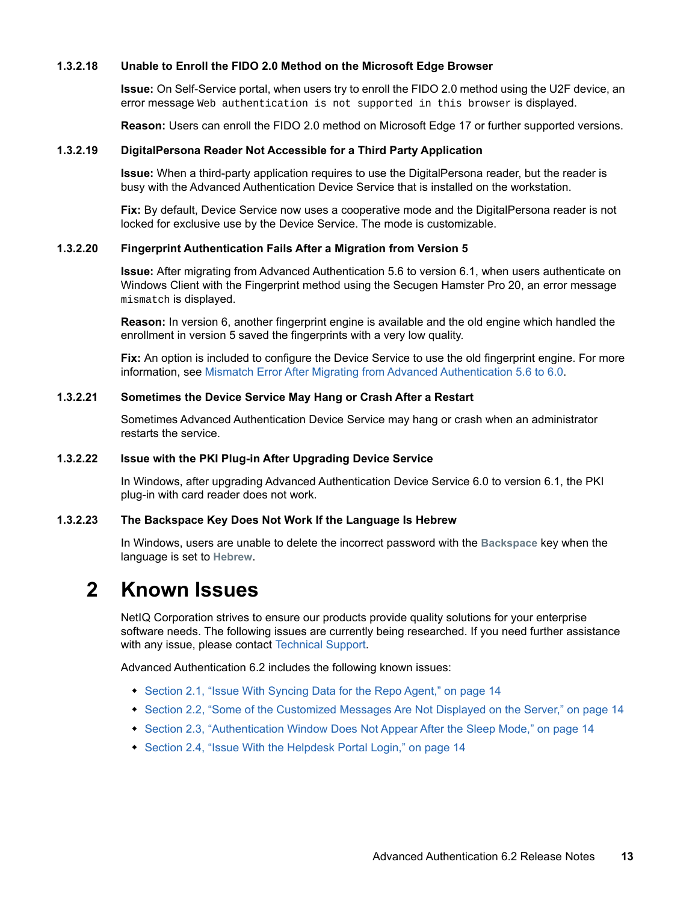#### <span id="page-12-0"></span>**1.3.2.18 Unable to Enroll the FIDO 2.0 Method on the Microsoft Edge Browser**

**Issue:** On Self-Service portal, when users try to enroll the FIDO 2.0 method using the U2F device, an error message Web authentication is not supported in this browser is displayed.

**Reason:** Users can enroll the FIDO 2.0 method on Microsoft Edge 17 or further supported versions.

#### <span id="page-12-1"></span>**1.3.2.19 DigitalPersona Reader Not Accessible for a Third Party Application**

**Issue:** When a third-party application requires to use the DigitalPersona reader, but the reader is busy with the Advanced Authentication Device Service that is installed on the workstation.

**Fix:** By default, Device Service now uses a cooperative mode and the DigitalPersona reader is not locked for exclusive use by the Device Service. The mode is customizable.

#### <span id="page-12-2"></span>**1.3.2.20 Fingerprint Authentication Fails After a Migration from Version 5**

**Issue:** After migrating from Advanced Authentication 5.6 to version 6.1, when users authenticate on Windows Client with the Fingerprint method using the Secugen Hamster Pro 20, an error message mismatch is displayed.

**Reason:** In version 6, another fingerprint engine is available and the old engine which handled the enrollment in version 5 saved the fingerprints with a very low quality.

**Fix:** An option is included to configure the Device Service to use the old fingerprint engine. For more information, see [Mismatch Error After Migrating from Advanced Authentication 5.6 to 6.0](https://www.netiq.com/documentation/advanced-authentication-60/pdfdoc/device-service-installation/device-service-installation.pdf#t48m4i3qjw6r).

#### <span id="page-12-3"></span>**1.3.2.21 Sometimes the Device Service May Hang or Crash After a Restart**

Sometimes Advanced Authentication Device Service may hang or crash when an administrator restarts the service.

#### <span id="page-12-4"></span>**1.3.2.22 Issue with the PKI Plug-in After Upgrading Device Service**

In Windows, after upgrading Advanced Authentication Device Service 6.0 to version 6.1, the PKI plug-in with card reader does not work.

#### <span id="page-12-5"></span>**1.3.2.23 The Backspace Key Does Not Work If the Language Is Hebrew**

In Windows, users are unable to delete the incorrect password with the **Backspace** key when the language is set to **Hebrew**.

# **2 Known Issues**

NetIQ Corporation strives to ensure our products provide quality solutions for your enterprise software needs. The following issues are currently being researched. If you need further assistance with any issue, please contact [Technical Support](http://www.netiq.com/support).

Advanced Authentication 6.2 includes the following known issues:

- [Section 2.1, "Issue With Syncing Data for the Repo Agent," on page 14](#page-13-1)
- [Section 2.2, "Some of the Customized Messages Are Not Displayed on the Server," on page 14](#page-13-2)
- [Section 2.3, "Authentication Window Does Not Appear After the Sleep Mode," on page 14](#page-13-3)
- [Section 2.4, "Issue With the Helpdesk Portal Login," on page 14](#page-13-0)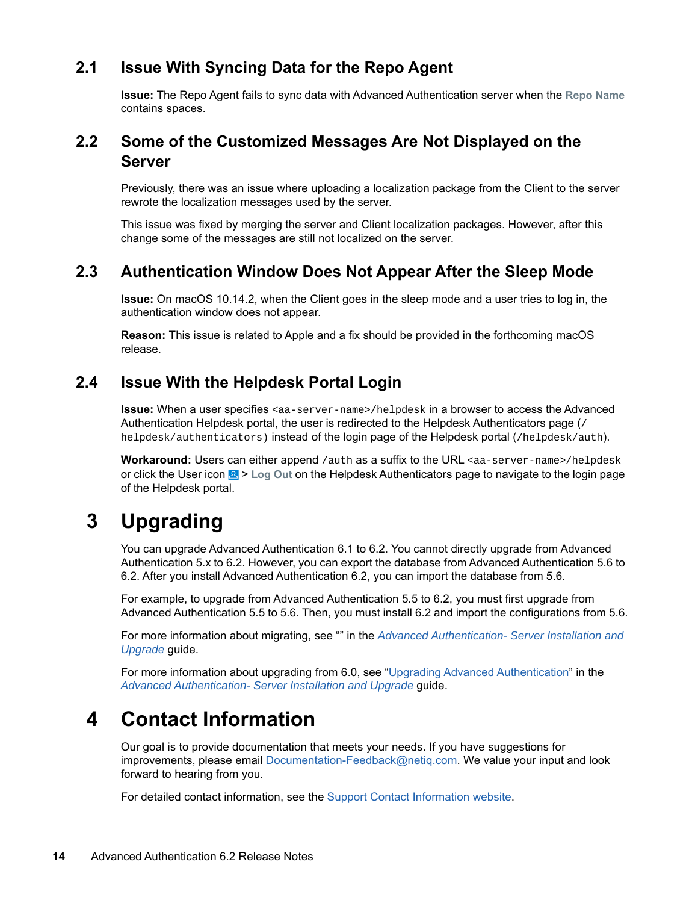## <span id="page-13-1"></span>**2.1 Issue With Syncing Data for the Repo Agent**

**Issue:** The Repo Agent fails to sync data with Advanced Authentication server when the **Repo Name** contains spaces.

## <span id="page-13-2"></span>**2.2 Some of the Customized Messages Are Not Displayed on the Server**

Previously, there was an issue where uploading a localization package from the Client to the server rewrote the localization messages used by the server.

This issue was fixed by merging the server and Client localization packages. However, after this change some of the messages are still not localized on the server.

## <span id="page-13-3"></span>**2.3 Authentication Window Does Not Appear After the Sleep Mode**

**Issue:** On macOS 10.14.2, when the Client goes in the sleep mode and a user tries to log in, the authentication window does not appear.

**Reason:** This issue is related to Apple and a fix should be provided in the forthcoming macOS release.

## <span id="page-13-0"></span>**2.4 Issue With the Helpdesk Portal Login**

**Issue:** When a user specifies <aa-server-name>/helpdesk in a browser to access the Advanced Authentication Helpdesk portal, the user is redirected to the Helpdesk Authenticators page (/ helpdesk/authenticators) instead of the login page of the Helpdesk portal (/helpdesk/auth).

Workaround: Users can either append /auth as a suffix to the URL <aa-server-name>/helpdesk or click the User icon  $\mathbb{E}$  > Log Out on the Helpdesk Authenticators page to navigate to the login page of the Helpdesk portal.

# **3 Upgrading**

You can upgrade Advanced Authentication 6.1 to 6.2. You cannot directly upgrade from Advanced Authentication 5.x to 6.2. However, you can export the database from Advanced Authentication 5.6 to 6.2. After you install Advanced Authentication 6.2, you can import the database from 5.6.

For example, to upgrade from Advanced Authentication 5.5 to 6.2, you must first upgrade from Advanced Authentication 5.5 to 5.6. Then, you must install 6.2 and import the configurations from 5.6.

For more information about migrating, see "" in the *[Advanced Authentication- Server Installation and](https://www.netiq.com/documentation/advanced-authentication-60/pdfdoc/install-upgrade-guide/install-upgrade-guide.pdf#bookinfo)  Upgrade* guide.

For more information about upgrading from 6.0, see ["Upgrading Advanced Authentication](https://www.netiq.com/documentation/advanced-authentication-60/pdfdoc/install-upgrade-guide/install-upgrade-guide.pdf#productupgrade)" in the *[Advanced Authentication- Server Installation and Upgrade](https://www.netiq.com/documentation/advanced-authentication-60/pdfdoc/install-upgrade-guide/install-upgrade-guide.pdf#bookinfo)* guide.

# **4 Contact Information**

Our goal is to provide documentation that meets your needs. If you have suggestions for improvements, please email [Documentation-Feedback@netiq.com](mailto:Documentation-Feedback@netiq.com). We value your input and look forward to hearing from you.

For detailed contact information, see the [Support Contact Information website.](http://www.netiq.com/support/process.asp#phone)